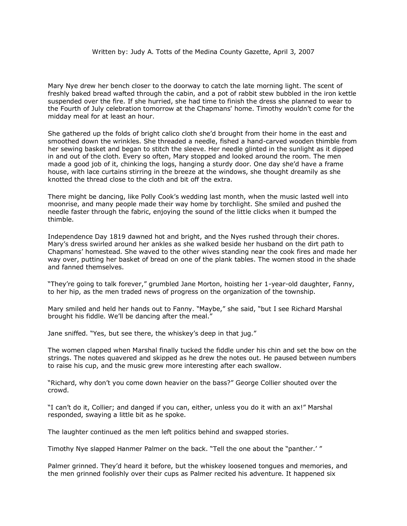Mary Nye drew her bench closer to the doorway to catch the late morning light. The scent of freshly baked bread wafted through the cabin, and a pot of rabbit stew bubbled in the iron kettle suspended over the fire. If she hurried, she had time to finish the dress she planned to wear to the Fourth of July celebration tomorrow at the Chapmans' home. Timothy wouldn't come for the midday meal for at least an hour.

She gathered up the folds of bright calico cloth she'd brought from their home in the east and smoothed down the wrinkles. She threaded a needle, fished a hand-carved wooden thimble from her sewing basket and began to stitch the sleeve. Her needle glinted in the sunlight as it dipped in and out of the cloth. Every so often, Mary stopped and looked around the room. The men made a good job of it, chinking the logs, hanging a sturdy door. One day she'd have a frame house, with lace curtains stirring in the breeze at the windows, she thought dreamily as she knotted the thread close to the cloth and bit off the extra.

There might be dancing, like Polly Cook's wedding last month, when the music lasted well into moonrise, and many people made their way home by torchlight. She smiled and pushed the needle faster through the fabric, enjoying the sound of the little clicks when it bumped the thimble.

Independence Day 1819 dawned hot and bright, and the Nyes rushed through their chores. Mary's dress swirled around her ankles as she walked beside her husband on the dirt path to Chapmans' homestead. She waved to the other wives standing near the cook fires and made her way over, putting her basket of bread on one of the plank tables. The women stood in the shade and fanned themselves.

"They're going to talk forever," grumbled Jane Morton, hoisting her 1-year-old daughter, Fanny, to her hip, as the men traded news of progress on the organization of the township.

Mary smiled and held her hands out to Fanny. "Maybe," she said, "but I see Richard Marshal brought his fiddle. We'll be dancing after the meal."

Jane sniffed. "Yes, but see there, the whiskey's deep in that jug."

The women clapped when Marshal finally tucked the fiddle under his chin and set the bow on the strings. The notes quavered and skipped as he drew the notes out. He paused between numbers to raise his cup, and the music grew more interesting after each swallow.

"Richard, why don't you come down heavier on the bass?" George Collier shouted over the crowd.

"I can't do it, Collier; and danged if you can, either, unless you do it with an ax!" Marshal responded, swaying a little bit as he spoke.

The laughter continued as the men left politics behind and swapped stories.

Timothy Nye slapped Hanmer Palmer on the back. "Tell the one about the "panther.' "

Palmer grinned. They'd heard it before, but the whiskey loosened tongues and memories, and the men grinned foolishly over their cups as Palmer recited his adventure. It happened six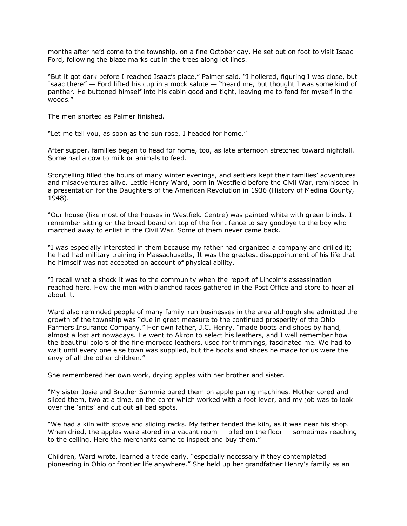months after he'd come to the township, on a fine October day. He set out on foot to visit Isaac Ford, following the blaze marks cut in the trees along lot lines.

"But it got dark before I reached Isaac's place," Palmer said. "I hollered, figuring I was close, but Isaac there"  $-$  Ford lifted his cup in a mock salute  $-$  "heard me, but thought I was some kind of panther. He buttoned himself into his cabin good and tight, leaving me to fend for myself in the woods."

The men snorted as Palmer finished.

"Let me tell you, as soon as the sun rose, I headed for home."

After supper, families began to head for home, too, as late afternoon stretched toward nightfall. Some had a cow to milk or animals to feed.

Storytelling filled the hours of many winter evenings, and settlers kept their families' adventures and misadventures alive. Lettie Henry Ward, born in Westfield before the Civil War, reminisced in a presentation for the Daughters of the American Revolution in 1936 (History of Medina County, 1948).

"Our house (like most of the houses in Westfield Centre) was painted white with green blinds. I remember sitting on the broad board on top of the front fence to say goodbye to the boy who marched away to enlist in the Civil War. Some of them never came back.

"I was especially interested in them because my father had organized a company and drilled it; he had had military training in Massachusetts, It was the greatest disappointment of his life that he himself was not accepted on account of physical ability.

"I recall what a shock it was to the community when the report of Lincoln's assassination reached here. How the men with blanched faces gathered in the Post Office and store to hear all about it.

Ward also reminded people of many family-run businesses in the area although she admitted the growth of the township was "due in great measure to the continued prosperity of the Ohio Farmers Insurance Company." Her own father, J.C. Henry, "made boots and shoes by hand, almost a lost art nowadays. He went to Akron to select his leathers, and I well remember how the beautiful colors of the fine morocco leathers, used for trimmings, fascinated me. We had to wait until every one else town was supplied, but the boots and shoes he made for us were the envy of all the other children."

She remembered her own work, drying apples with her brother and sister.

"My sister Josie and Brother Sammie pared them on apple paring machines. Mother cored and sliced them, two at a time, on the corer which worked with a foot lever, and my job was to look over the 'snits' and cut out all bad spots.

"We had a kiln with stove and sliding racks. My father tended the kiln, as it was near his shop. When dried, the apples were stored in a vacant room  $-$  piled on the floor  $-$  sometimes reaching to the ceiling. Here the merchants came to inspect and buy them."

Children, Ward wrote, learned a trade early, "especially necessary if they contemplated pioneering in Ohio or frontier life anywhere." She held up her grandfather Henry's family as an